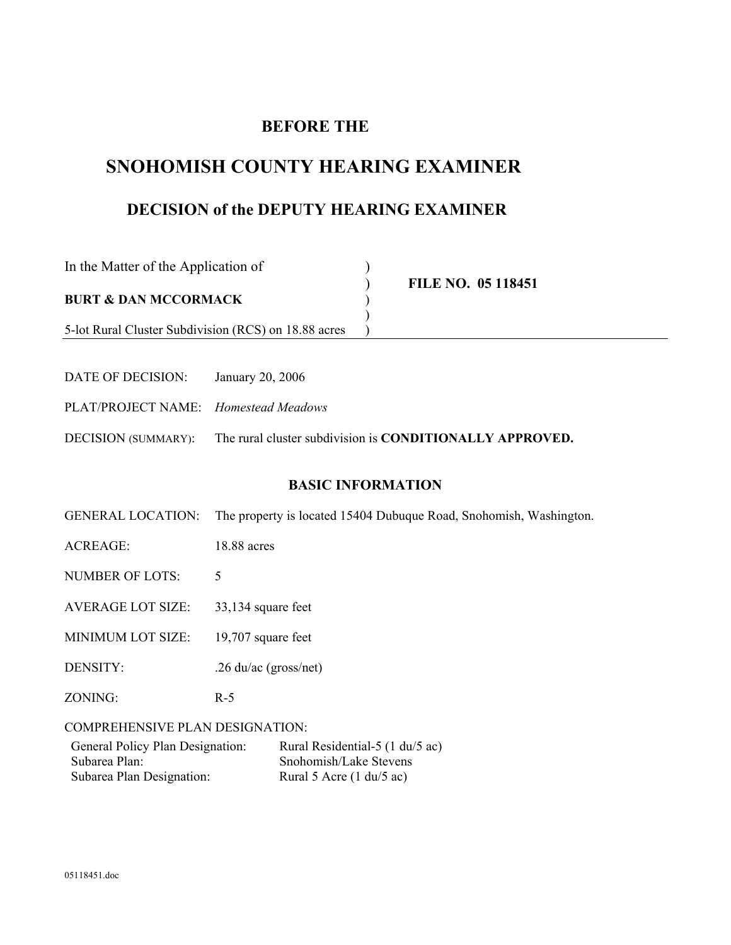# **BEFORE THE**

# **SNOHOMISH COUNTY HEARING EXAMINER**

# **DECISION of the DEPUTY HEARING EXAMINER**

| In the Matter of the Application of                  |                    |
|------------------------------------------------------|--------------------|
|                                                      | FILE NO. 05 118451 |
| <b>BURT &amp; DAN MCCORMACK</b>                      |                    |
|                                                      |                    |
| 5-lot Rural Cluster Subdivision (RCS) on 18.88 acres |                    |

DATE OF DECISION: January 20, 2006

PLAT/PROJECT NAME: *Homestead Meadows*

DECISION (SUMMARY): The rural cluster subdivision is **CONDITIONALLY APPROVED.** 

#### **BASIC INFORMATION**

GENERAL LOCATION: The property is located 15404 Dubuque Road, Snohomish, Washington.

ACREAGE: 18.88 acres

NUMBER OF LOTS: 5

AVERAGE LOT SIZE: 33,134 square feet

MINIMUM LOT SIZE: 19,707 square feet

DENSITY: .26 du/ac (gross/net)

ZONING: R-5

COMPREHENSIVE PLAN DESIGNATION:

| General Policy Plan Designation: | Rural Residential-5 (1 du/5 ac) |
|----------------------------------|---------------------------------|
| Subarea Plan:                    | Snohomish/Lake Stevens          |
| Subarea Plan Designation:        | Rural 5 Acre $(1 du/5 ac)$      |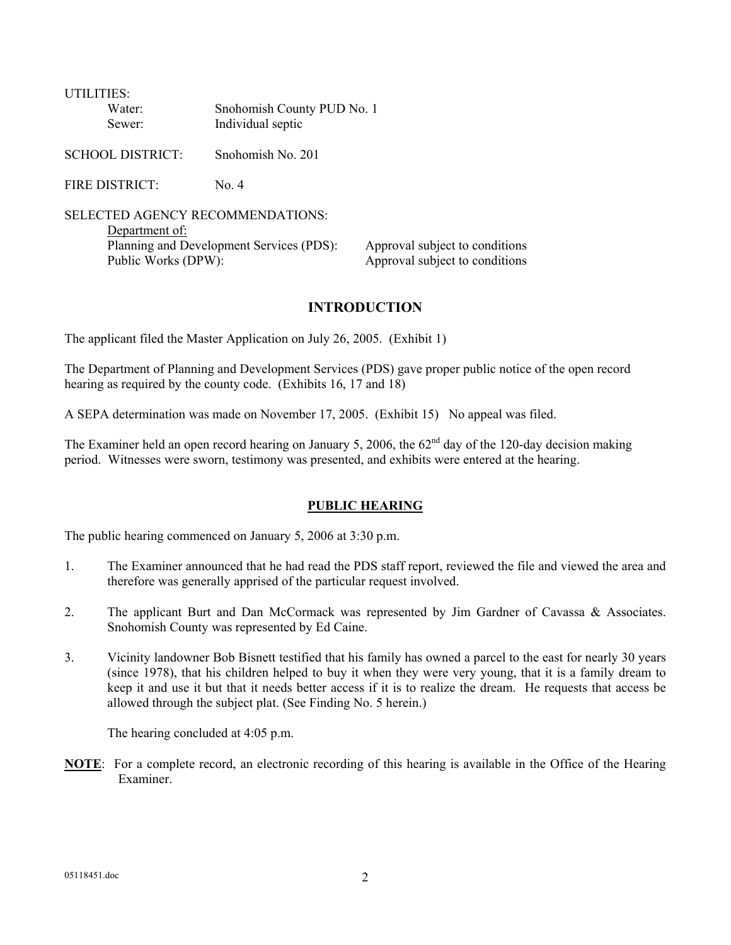| UTILITIES: |                            |
|------------|----------------------------|
| Water:     | Snohomish County PUD No. 1 |
| Sewer:     | Individual septic          |
|            |                            |

SCHOOL DISTRICT: Snohomish No. 201

FIRE DISTRICT: No. 4

SELECTED AGENCY RECOMMENDATIONS: Department of: Planning and Development Services (PDS): Approval subject to conditions Public Works (DPW): Approval subject to conditions

# **INTRODUCTION**

The applicant filed the Master Application on July 26, 2005. (Exhibit 1)

The Department of Planning and Development Services (PDS) gave proper public notice of the open record hearing as required by the county code. (Exhibits 16, 17 and 18)

A SEPA determination was made on November 17, 2005. (Exhibit 15) No appeal was filed.

The Examiner held an open record hearing on January 5, 2006, the  $62<sup>nd</sup>$  day of the 120-day decision making period. Witnesses were sworn, testimony was presented, and exhibits were entered at the hearing.

#### **PUBLIC HEARING**

The public hearing commenced on January 5, 2006 at 3:30 p.m.

- 1. The Examiner announced that he had read the PDS staff report, reviewed the file and viewed the area and therefore was generally apprised of the particular request involved.
- 2. The applicant Burt and Dan McCormack was represented by Jim Gardner of Cavassa & Associates. Snohomish County was represented by Ed Caine.
- 3. Vicinity landowner Bob Bisnett testified that his family has owned a parcel to the east for nearly 30 years (since 1978), that his children helped to buy it when they were very young, that it is a family dream to keep it and use it but that it needs better access if it is to realize the dream. He requests that access be allowed through the subject plat. (See Finding No. 5 herein.)

The hearing concluded at 4:05 p.m.

**NOTE**: For a complete record, an electronic recording of this hearing is available in the Office of the Hearing Examiner.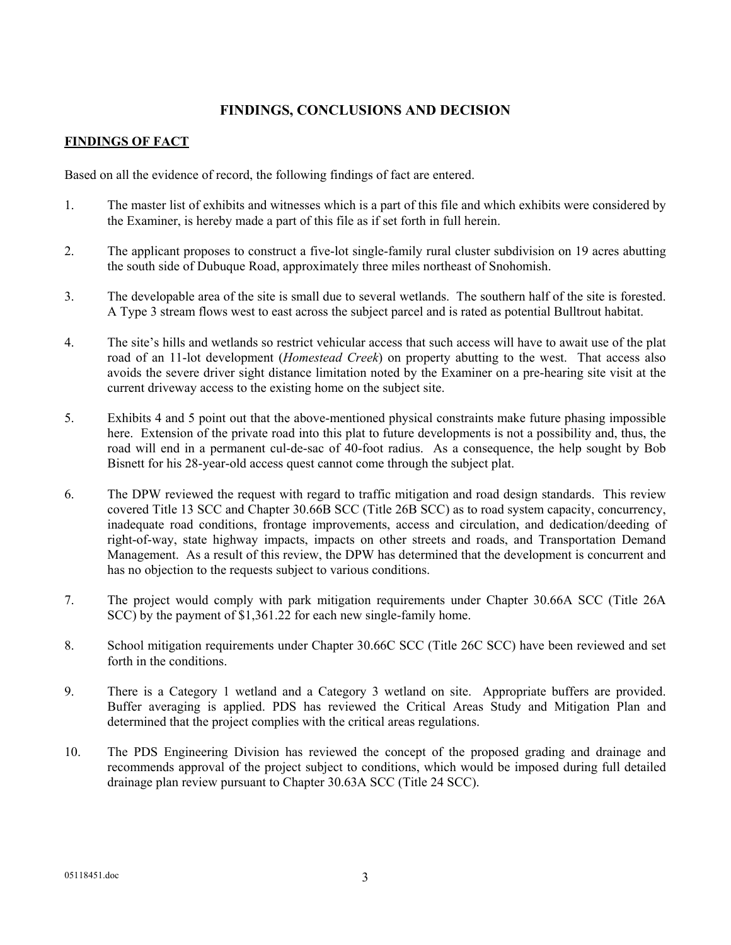## **FINDINGS, CONCLUSIONS AND DECISION**

#### **FINDINGS OF FACT**

Based on all the evidence of record, the following findings of fact are entered.

- 1. The master list of exhibits and witnesses which is a part of this file and which exhibits were considered by the Examiner, is hereby made a part of this file as if set forth in full herein.
- 2. The applicant proposes to construct a five-lot single-family rural cluster subdivision on 19 acres abutting the south side of Dubuque Road, approximately three miles northeast of Snohomish.
- 3. The developable area of the site is small due to several wetlands. The southern half of the site is forested. A Type 3 stream flows west to east across the subject parcel and is rated as potential Bulltrout habitat.
- 4. The site's hills and wetlands so restrict vehicular access that such access will have to await use of the plat road of an 11-lot development (*Homestead Creek*) on property abutting to the west. That access also avoids the severe driver sight distance limitation noted by the Examiner on a pre-hearing site visit at the current driveway access to the existing home on the subject site.
- 5. Exhibits 4 and 5 point out that the above-mentioned physical constraints make future phasing impossible here. Extension of the private road into this plat to future developments is not a possibility and, thus, the road will end in a permanent cul-de-sac of 40-foot radius. As a consequence, the help sought by Bob Bisnett for his 28-year-old access quest cannot come through the subject plat.
- 6. The DPW reviewed the request with regard to traffic mitigation and road design standards. This review covered Title 13 SCC and Chapter 30.66B SCC (Title 26B SCC) as to road system capacity, concurrency, inadequate road conditions, frontage improvements, access and circulation, and dedication/deeding of right-of-way, state highway impacts, impacts on other streets and roads, and Transportation Demand Management. As a result of this review, the DPW has determined that the development is concurrent and has no objection to the requests subject to various conditions.
- 7. The project would comply with park mitigation requirements under Chapter 30.66A SCC (Title 26A SCC) by the payment of \$1,361.22 for each new single-family home.
- 8. School mitigation requirements under Chapter 30.66C SCC (Title 26C SCC) have been reviewed and set forth in the conditions.
- 9. There is a Category 1 wetland and a Category 3 wetland on site. Appropriate buffers are provided. Buffer averaging is applied. PDS has reviewed the Critical Areas Study and Mitigation Plan and determined that the project complies with the critical areas regulations.
- 10. The PDS Engineering Division has reviewed the concept of the proposed grading and drainage and recommends approval of the project subject to conditions, which would be imposed during full detailed drainage plan review pursuant to Chapter 30.63A SCC (Title 24 SCC).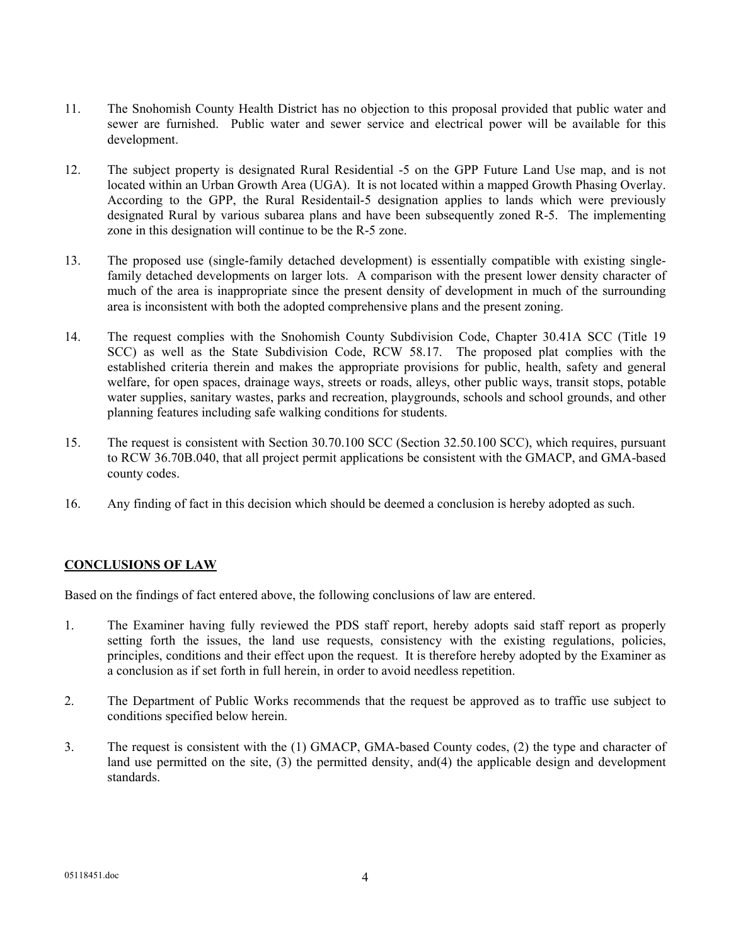- 11. The Snohomish County Health District has no objection to this proposal provided that public water and sewer are furnished. Public water and sewer service and electrical power will be available for this development.
- 12. The subject property is designated Rural Residential -5 on the GPP Future Land Use map, and is not located within an Urban Growth Area (UGA). It is not located within a mapped Growth Phasing Overlay. According to the GPP, the Rural Residentail-5 designation applies to lands which were previously designated Rural by various subarea plans and have been subsequently zoned R-5. The implementing zone in this designation will continue to be the R-5 zone.
- 13. The proposed use (single-family detached development) is essentially compatible with existing singlefamily detached developments on larger lots. A comparison with the present lower density character of much of the area is inappropriate since the present density of development in much of the surrounding area is inconsistent with both the adopted comprehensive plans and the present zoning.
- 14. The request complies with the Snohomish County Subdivision Code, Chapter 30.41A SCC (Title 19 SCC) as well as the State Subdivision Code, RCW 58.17. The proposed plat complies with the established criteria therein and makes the appropriate provisions for public, health, safety and general welfare, for open spaces, drainage ways, streets or roads, alleys, other public ways, transit stops, potable water supplies, sanitary wastes, parks and recreation, playgrounds, schools and school grounds, and other planning features including safe walking conditions for students.
- 15. The request is consistent with Section 30.70.100 SCC (Section 32.50.100 SCC), which requires, pursuant to RCW 36.70B.040, that all project permit applications be consistent with the GMACP, and GMA-based county codes.
- 16. Any finding of fact in this decision which should be deemed a conclusion is hereby adopted as such.

### **CONCLUSIONS OF LAW**

Based on the findings of fact entered above, the following conclusions of law are entered.

- 1. The Examiner having fully reviewed the PDS staff report, hereby adopts said staff report as properly setting forth the issues, the land use requests, consistency with the existing regulations, policies, principles, conditions and their effect upon the request. It is therefore hereby adopted by the Examiner as a conclusion as if set forth in full herein, in order to avoid needless repetition.
- 2. The Department of Public Works recommends that the request be approved as to traffic use subject to conditions specified below herein.
- 3. The request is consistent with the (1) GMACP, GMA-based County codes, (2) the type and character of land use permitted on the site, (3) the permitted density, and(4) the applicable design and development standards.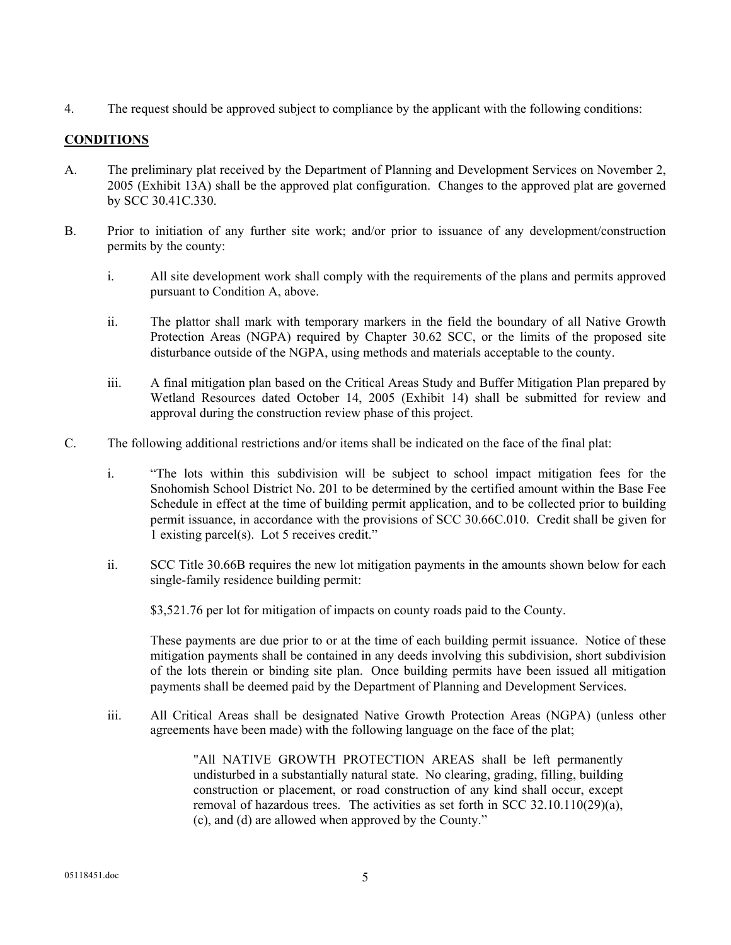4. The request should be approved subject to compliance by the applicant with the following conditions:

#### **CONDITIONS**

- A. The preliminary plat received by the Department of Planning and Development Services on November 2, 2005 (Exhibit 13A) shall be the approved plat configuration. Changes to the approved plat are governed by SCC 30.41C.330.
- B. Prior to initiation of any further site work; and/or prior to issuance of any development/construction permits by the county:
	- i. All site development work shall comply with the requirements of the plans and permits approved pursuant to Condition A, above.
	- ii. The plattor shall mark with temporary markers in the field the boundary of all Native Growth Protection Areas (NGPA) required by Chapter 30.62 SCC, or the limits of the proposed site disturbance outside of the NGPA, using methods and materials acceptable to the county.
	- iii. A final mitigation plan based on the Critical Areas Study and Buffer Mitigation Plan prepared by Wetland Resources dated October 14, 2005 (Exhibit 14) shall be submitted for review and approval during the construction review phase of this project.
- C. The following additional restrictions and/or items shall be indicated on the face of the final plat:
	- i. "The lots within this subdivision will be subject to school impact mitigation fees for the Snohomish School District No. 201 to be determined by the certified amount within the Base Fee Schedule in effect at the time of building permit application, and to be collected prior to building permit issuance, in accordance with the provisions of SCC 30.66C.010. Credit shall be given for 1 existing parcel(s). Lot 5 receives credit."
	- ii. SCC Title 30.66B requires the new lot mitigation payments in the amounts shown below for each single-family residence building permit:

\$3,521.76 per lot for mitigation of impacts on county roads paid to the County.

 These payments are due prior to or at the time of each building permit issuance. Notice of these mitigation payments shall be contained in any deeds involving this subdivision, short subdivision of the lots therein or binding site plan. Once building permits have been issued all mitigation payments shall be deemed paid by the Department of Planning and Development Services.

iii. All Critical Areas shall be designated Native Growth Protection Areas (NGPA) (unless other agreements have been made) with the following language on the face of the plat;

> "All NATIVE GROWTH PROTECTION AREAS shall be left permanently undisturbed in a substantially natural state. No clearing, grading, filling, building construction or placement, or road construction of any kind shall occur, except removal of hazardous trees. The activities as set forth in SCC 32.10.110(29)(a), (c), and (d) are allowed when approved by the County."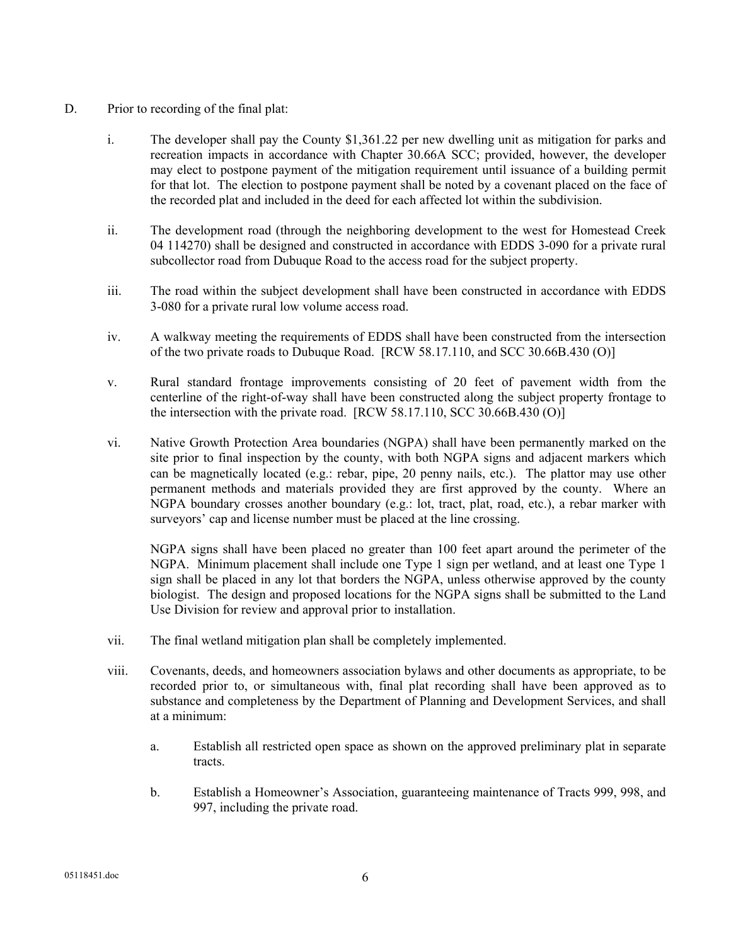- D. Prior to recording of the final plat:
	- i. The developer shall pay the County \$1,361.22 per new dwelling unit as mitigation for parks and recreation impacts in accordance with Chapter 30.66A SCC; provided, however, the developer may elect to postpone payment of the mitigation requirement until issuance of a building permit for that lot. The election to postpone payment shall be noted by a covenant placed on the face of the recorded plat and included in the deed for each affected lot within the subdivision.
	- ii. The development road (through the neighboring development to the west for Homestead Creek 04 114270) shall be designed and constructed in accordance with EDDS 3-090 for a private rural subcollector road from Dubuque Road to the access road for the subject property.
	- iii. The road within the subject development shall have been constructed in accordance with EDDS 3-080 for a private rural low volume access road.
	- iv. A walkway meeting the requirements of EDDS shall have been constructed from the intersection of the two private roads to Dubuque Road. [RCW 58.17.110, and SCC 30.66B.430 (O)]
	- v. Rural standard frontage improvements consisting of 20 feet of pavement width from the centerline of the right-of-way shall have been constructed along the subject property frontage to the intersection with the private road.  $[RCW 58.17.110, SCC 30.66B.430 (O)]$
	- vi. Native Growth Protection Area boundaries (NGPA) shall have been permanently marked on the site prior to final inspection by the county, with both NGPA signs and adjacent markers which can be magnetically located (e.g.: rebar, pipe, 20 penny nails, etc.). The plattor may use other permanent methods and materials provided they are first approved by the county. Where an NGPA boundary crosses another boundary (e.g.: lot, tract, plat, road, etc.), a rebar marker with surveyors' cap and license number must be placed at the line crossing.

 NGPA signs shall have been placed no greater than 100 feet apart around the perimeter of the NGPA. Minimum placement shall include one Type 1 sign per wetland, and at least one Type 1 sign shall be placed in any lot that borders the NGPA, unless otherwise approved by the county biologist. The design and proposed locations for the NGPA signs shall be submitted to the Land Use Division for review and approval prior to installation.

- vii. The final wetland mitigation plan shall be completely implemented.
- viii. Covenants, deeds, and homeowners association bylaws and other documents as appropriate, to be recorded prior to, or simultaneous with, final plat recording shall have been approved as to substance and completeness by the Department of Planning and Development Services, and shall at a minimum:
	- a. Establish all restricted open space as shown on the approved preliminary plat in separate tracts.
	- b. Establish a Homeowner's Association, guaranteeing maintenance of Tracts 999, 998, and 997, including the private road.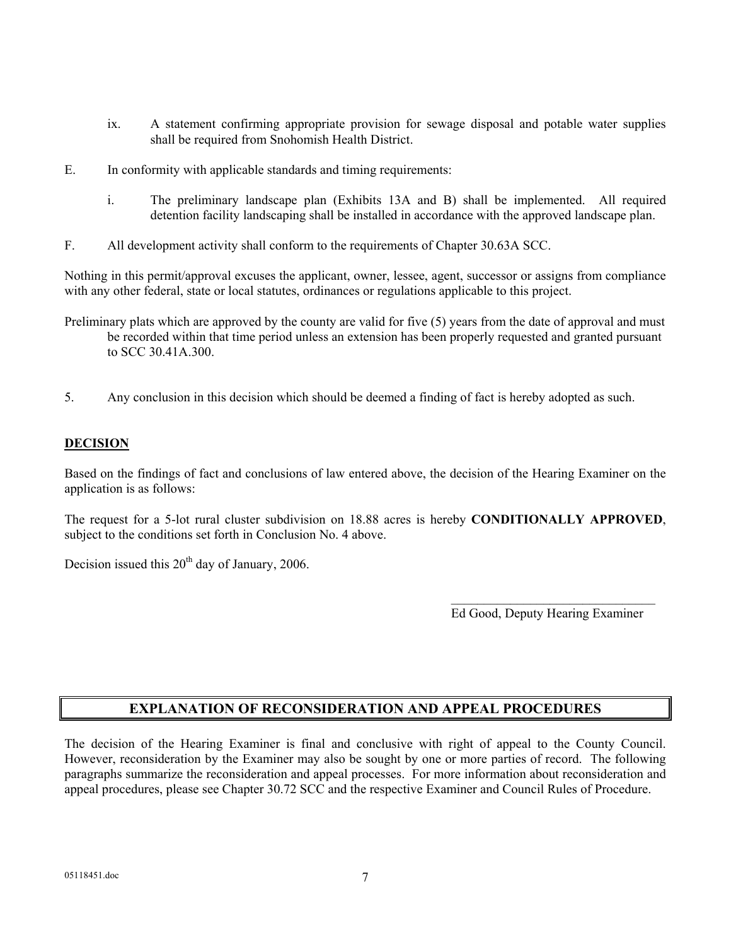- ix. A statement confirming appropriate provision for sewage disposal and potable water supplies shall be required from Snohomish Health District.
- E. In conformity with applicable standards and timing requirements:
	- i. The preliminary landscape plan (Exhibits 13A and B) shall be implemented. All required detention facility landscaping shall be installed in accordance with the approved landscape plan.
- F. All development activity shall conform to the requirements of Chapter 30.63A SCC.

Nothing in this permit/approval excuses the applicant, owner, lessee, agent, successor or assigns from compliance with any other federal, state or local statutes, ordinances or regulations applicable to this project.

- Preliminary plats which are approved by the county are valid for five (5) years from the date of approval and must be recorded within that time period unless an extension has been properly requested and granted pursuant to SCC 30.41A.300.
- 5. Any conclusion in this decision which should be deemed a finding of fact is hereby adopted as such.

### **DECISION**

Based on the findings of fact and conclusions of law entered above, the decision of the Hearing Examiner on the application is as follows:

The request for a 5-lot rural cluster subdivision on 18.88 acres is hereby **CONDITIONALLY APPROVED**, subject to the conditions set forth in Conclusion No. 4 above.

 $\mathcal{L}_\text{max}$  and  $\mathcal{L}_\text{max}$  and  $\mathcal{L}_\text{max}$  and  $\mathcal{L}_\text{max}$  and  $\mathcal{L}_\text{max}$ 

Decision issued this  $20<sup>th</sup>$  day of January, 2006.

Ed Good, Deputy Hearing Examiner

## **EXPLANATION OF RECONSIDERATION AND APPEAL PROCEDURES**

The decision of the Hearing Examiner is final and conclusive with right of appeal to the County Council. However, reconsideration by the Examiner may also be sought by one or more parties of record. The following paragraphs summarize the reconsideration and appeal processes. For more information about reconsideration and appeal procedures, please see Chapter 30.72 SCC and the respective Examiner and Council Rules of Procedure.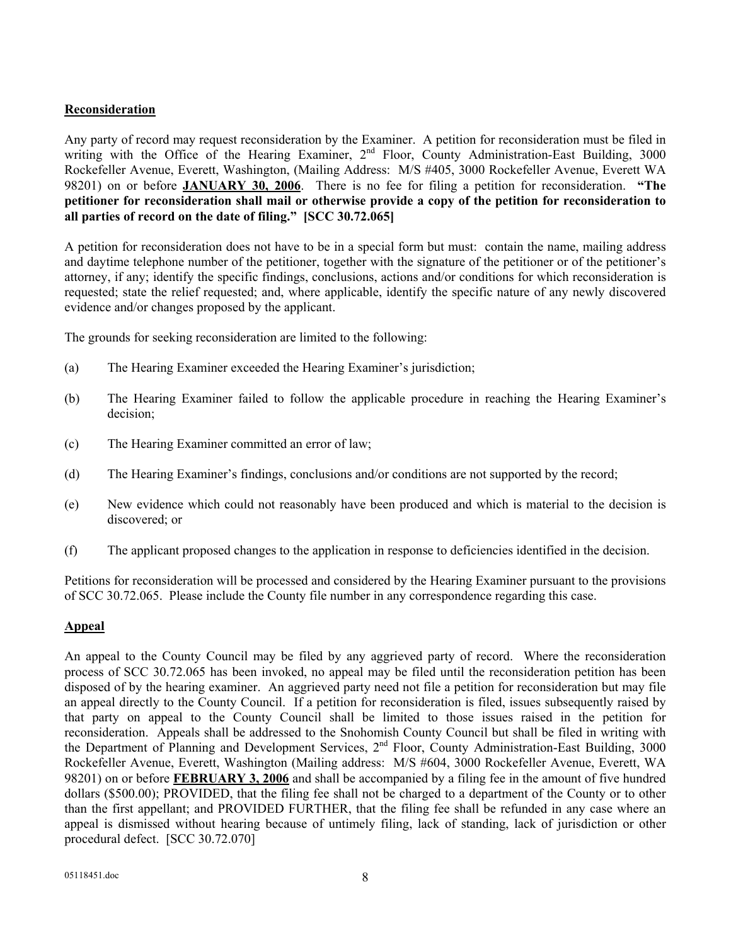#### **Reconsideration**

Any party of record may request reconsideration by the Examiner. A petition for reconsideration must be filed in writing with the Office of the Hearing Examiner, 2<sup>nd</sup> Floor, County Administration-East Building, 3000 Rockefeller Avenue, Everett, Washington, (Mailing Address: M/S #405, 3000 Rockefeller Avenue, Everett WA 98201) on or before **JANUARY 30, 2006**. There is no fee for filing a petition for reconsideration. **"The petitioner for reconsideration shall mail or otherwise provide a copy of the petition for reconsideration to all parties of record on the date of filing." [SCC 30.72.065]**

A petition for reconsideration does not have to be in a special form but must: contain the name, mailing address and daytime telephone number of the petitioner, together with the signature of the petitioner or of the petitioner's attorney, if any; identify the specific findings, conclusions, actions and/or conditions for which reconsideration is requested; state the relief requested; and, where applicable, identify the specific nature of any newly discovered evidence and/or changes proposed by the applicant.

The grounds for seeking reconsideration are limited to the following:

- (a) The Hearing Examiner exceeded the Hearing Examiner's jurisdiction;
- (b) The Hearing Examiner failed to follow the applicable procedure in reaching the Hearing Examiner's decision;
- (c) The Hearing Examiner committed an error of law;
- (d) The Hearing Examiner's findings, conclusions and/or conditions are not supported by the record;
- (e) New evidence which could not reasonably have been produced and which is material to the decision is discovered; or
- (f) The applicant proposed changes to the application in response to deficiencies identified in the decision.

Petitions for reconsideration will be processed and considered by the Hearing Examiner pursuant to the provisions of SCC 30.72.065. Please include the County file number in any correspondence regarding this case.

#### **Appeal**

An appeal to the County Council may be filed by any aggrieved party of record. Where the reconsideration process of SCC 30.72.065 has been invoked, no appeal may be filed until the reconsideration petition has been disposed of by the hearing examiner. An aggrieved party need not file a petition for reconsideration but may file an appeal directly to the County Council. If a petition for reconsideration is filed, issues subsequently raised by that party on appeal to the County Council shall be limited to those issues raised in the petition for reconsideration. Appeals shall be addressed to the Snohomish County Council but shall be filed in writing with the Department of Planning and Development Services, 2<sup>nd</sup> Floor, County Administration-East Building, 3000 Rockefeller Avenue, Everett, Washington (Mailing address: M/S #604, 3000 Rockefeller Avenue, Everett, WA 98201) on or before **FEBRUARY 3, 2006** and shall be accompanied by a filing fee in the amount of five hundred dollars (\$500.00); PROVIDED, that the filing fee shall not be charged to a department of the County or to other than the first appellant; and PROVIDED FURTHER, that the filing fee shall be refunded in any case where an appeal is dismissed without hearing because of untimely filing, lack of standing, lack of jurisdiction or other procedural defect. [SCC 30.72.070]